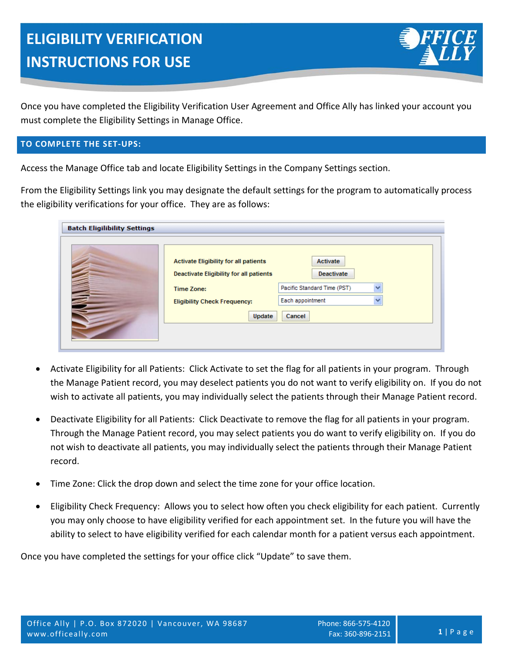

Once you have completed the Eligibility Verification User Agreement and Office Ally has linked your account you must complete the Eligibility Settings in Manage Office.

# **TO COMPLETE THE SET‐UPS:**

Access the Manage Office tab and locate Eligibility Settings in the Company Settings section.

From the Eligibility Settings link you may designate the default settings for the program to automatically process the eligibility verifications for your office. They are as follows:

| <b>Batch Eligilibility Settings</b> |                                                                                                                                                               |                                                                                            |  |
|-------------------------------------|---------------------------------------------------------------------------------------------------------------------------------------------------------------|--------------------------------------------------------------------------------------------|--|
|                                     | <b>Activate Eligibility for all patients</b><br><b>Deactivate Eligibility for all patients</b><br>Time Zone:<br><b>Eligibility Check Frequency:</b><br>Update | Activate<br><b>Deactivate</b><br>Pacific Standard Time (PST)<br>Each appointment<br>Cancel |  |

- Activate Eligibility for all Patients: Click Activate to set the flag for all patients in your program. Through the Manage Patient record, you may deselect patients you do not want to verify eligibility on. If you do not wish to activate all patients, you may individually select the patients through their Manage Patient record.
- Deactivate Eligibility for all Patients: Click Deactivate to remove the flag for all patients in your program. Through the Manage Patient record, you may select patients you do want to verify eligibility on. If you do not wish to deactivate all patients, you may individually select the patients through their Manage Patient record.
- Time Zone: Click the drop down and select the time zone for your office location.
- Eligibility Check Frequency: Allows you to select how often you check eligibility for each patient. Currently you may only choose to have eligibility verified for each appointment set. In the future you will have the ability to select to have eligibility verified for each calendar month for a patient versus each appointment.

Once you have completed the settings for your office click "Update" to save them.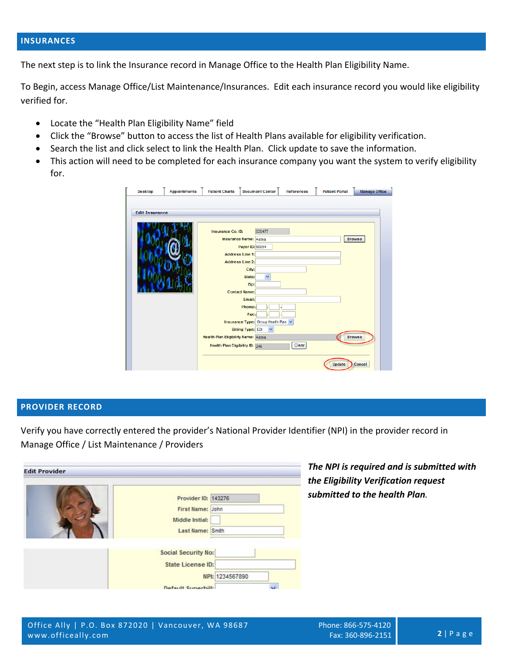# **INSURANCES**

The next step is to link the Insurance record in Manage Office to the Health Plan Eligibility Name.

To Begin, access Manage Office/List Maintenance/Insurances. Edit each insurance record you would like eligibility verified for.

- Locate the "Health Plan Eligibility Name" field
- Click the "Browse" button to access the list of Health Plans available for eligibility verification.
- Search the list and click select to link the Health Plan. Click update to save the information.
- This action will need to be completed for each insurance company you want the system to verify eligibility for.

| <b>Desktop</b>        | <b>Appointments</b> | <b>Patient Charts</b>                      | <b>Document Center</b>            | <b>References</b> | <b>Patient Portal</b> | <b>Manage Office</b> |
|-----------------------|---------------------|--------------------------------------------|-----------------------------------|-------------------|-----------------------|----------------------|
|                       |                     |                                            |                                   |                   |                       |                      |
| <b>Edit Insurance</b> |                     |                                            |                                   |                   |                       |                      |
|                       |                     |                                            |                                   |                   |                       |                      |
|                       |                     | Insurance Co. ID:                          | 535477                            |                   |                       |                      |
|                       |                     |                                            | <b>Insurance Name:</b> Aetna      |                   |                       | <b>Browse</b>        |
|                       |                     |                                            | Payer ID: 60054                   |                   |                       |                      |
|                       |                     | <b>Address Line 1:</b>                     |                                   |                   |                       |                      |
|                       |                     | <b>Address Line 2:</b>                     |                                   |                   |                       |                      |
|                       |                     |                                            | City:                             |                   |                       |                      |
|                       |                     |                                            | $\checkmark$<br>State:            |                   |                       |                      |
|                       |                     |                                            | Zip:<br><b>Contact Name:</b>      |                   |                       |                      |
|                       |                     |                                            | Email:                            |                   |                       |                      |
|                       |                     |                                            | Phone: (                          |                   |                       |                      |
|                       |                     |                                            | Fax:                              |                   |                       |                      |
|                       |                     |                                            | Insurance Type: Group Health Plan |                   |                       |                      |
|                       |                     |                                            | <b>Billing Type: EDI</b>          |                   |                       |                      |
|                       |                     | <b>Health Plan Eligibility Name: Aetna</b> |                                   |                   |                       | <b>Browse</b>        |
|                       |                     | Health Plan Eligibility ID: 246            |                                   | Clear             |                       |                      |
|                       |                     |                                            |                                   |                   | <b>Update</b>         | Cancel               |

#### **PROVIDER RECORD**

Verify you have correctly entered the provider's National Provider Identifier (NPI) in the provider record in Manage Office / List Maintenance / Providers

| <b>Edit Provider</b> |                            |                 |
|----------------------|----------------------------|-----------------|
|                      | Provider ID: 143276        |                 |
|                      | First Name: John           |                 |
|                      | Middle Initial:            |                 |
|                      | Last Name: Smith           |                 |
|                      | <b>Social Security No:</b> |                 |
|                      | <b>State License ID:</b>   |                 |
|                      |                            | NPI: 1234567890 |
|                      | Default Superbill:         |                 |

*The NPI is required and is submitted with the Eligibility Verification request submitted to the health Plan.*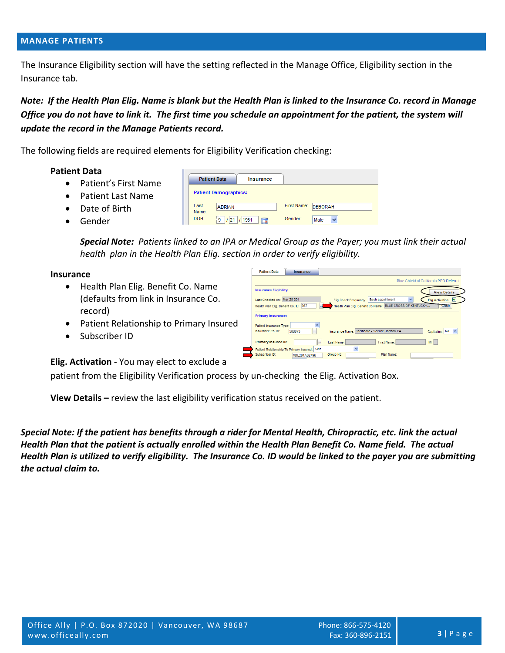### **MANAGE PATIENTS**

The Insurance Eligibility section will have the setting reflected in the Manage Office, Eligibility section in the Insurance tab.

Note: If the Health Plan Elig. Name is blank but the Health Plan is linked to the Insurance Co. record in Manage Office you do not have to link it. The first time you schedule an appointment for the patient, the system will *update the record in the Manage Patients record.*

Insurance

The following fields are required elements for Eligibility Verification checking:

**Patient Data** 

#### **Patient Data**

- Patient's First Name
- Patient Last Name
- Date of Birth
- Gender

**Patient Demographics:** Last First Name: DEBORAH **ADRIAN** Name DOB:  $9$  /21 /1951 | Gender. Male  $\checkmark$ 

**Special Note:** Patients linked to an IPA or Medical Group as the Payer; you must link their actual  *health plan in the Health Plan Elig. section in order to verify eligibility.*

#### **Insurance**

- Health Plan Elig. Benefit Co. Name (defaults from link in Insurance Co. record)
- Patient Relationship to Primary Insured
- Subscriber ID

|                                                      | Blue Shield of California PPO Referral                                           |
|------------------------------------------------------|----------------------------------------------------------------------------------|
| <b>Insurance Eligibility:</b>                        | <b>View Details</b>                                                              |
| Last Checked on: Mar 28 201                          | $\checkmark$<br>Each appointment<br>Elig.Activation:<br>Elig.Check Frequency:    |
| Health Plan Elig. Benefit Co. ID: 367<br>$\cdots$    | Health Plan Elig. Benefit Co.Name: BLUE CROSS OF KENTUCKY-<br>Clear              |
| <b>Primary Insurance:</b><br>Patient Insurance Type: |                                                                                  |
| Insurance Co. ID:<br>588673<br>$\cdots$              | Insurance Name: Pacificare - Secure Horizon CA<br>Capitation: No<br>$\checkmark$ |
| <b>Primary Insured ID:</b><br>                       | Mt.<br>Last Name:<br>First Name:                                                 |
| Self<br>Patient Relationship To Primary Insured:     | $\ddotmark$                                                                      |
| Subscriber ID:<br>XDL284A62796                       | Group No:<br>Plan Name:                                                          |

**Elig. Activation** ‐ You may elect to exclude a

patient from the Eligibility Verification process by un‐checking the Elig. Activation Box.

**View Details –** review the last eligibility verification status received on the patient.

Special Note: If the patient has benefits through a rider for Mental Health, Chiropractic, etc. link the actual Health Plan that the patient is actually enrolled within the Health Plan Benefit Co. Name field. The actual Health Plan is utilized to verify eligibility. The Insurance Co. ID would be linked to the payer you are submitting *the actual claim to.*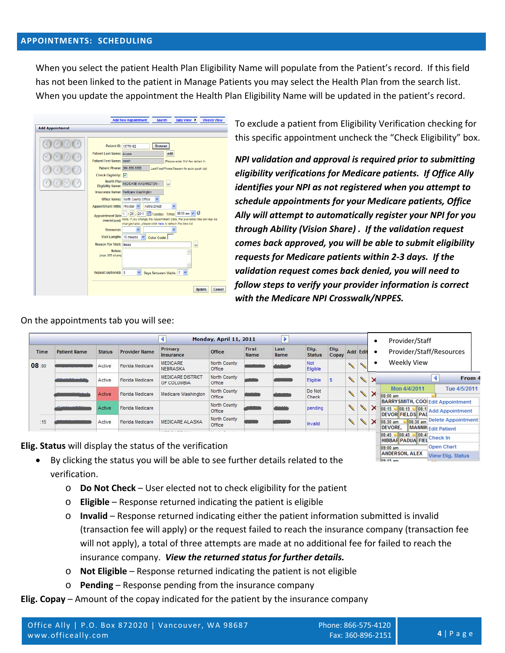## **APPOINTMENTS: SCHEDULING**

When you select the patient Health Plan Eligibility Name will populate from the Patient's record. If this field has not been linked to the patient in Manage Patients you may select the Health Plan from the search list. When you update the appointment the Health Plan Eligibility Name will be updated in the patient's record.

|                        | <b>Add New Appointment</b><br>Daily View $\blacktriangleright$<br><b>Weekly View</b><br>Search                                                                                                                                                                                                                                                                                                                                                                                                                                                                           |
|------------------------|--------------------------------------------------------------------------------------------------------------------------------------------------------------------------------------------------------------------------------------------------------------------------------------------------------------------------------------------------------------------------------------------------------------------------------------------------------------------------------------------------------------------------------------------------------------------------|
| <b>Add Appointment</b> |                                                                                                                                                                                                                                                                                                                                                                                                                                                                                                                                                                          |
|                        |                                                                                                                                                                                                                                                                                                                                                                                                                                                                                                                                                                          |
|                        | Patient ID: 13776162<br><b>Browse</b><br>Patient Last Name: Acuna<br>edit<br>Patient First Name: Isaiah<br>(Please enter first few letters in<br>Patient Phone: 360-555-5555<br>Last/First/Phone/Reason for auto quick list)<br><b>Check Eligibility:</b><br>罓<br><b>Health Plan</b><br><b>MEDICARE WASHINGTON--</b><br><br><b>Eligibility Name:</b><br>Insurance Name: Medicare Washington<br>Office Name: North County Office<br>$\checkmark$<br>Appointment With: Provider<br>Aetna Direct<br>v<br>o<br>/2011 Tuesday Time: 08:00 am<br>25<br><b>Appointment Date</b> |
|                        | Note: if you change the Appointment Date, the available time slot may be<br>(mm/dd/yyyy):<br>changed also, please click here to refresh the time list.<br><b>Resource:</b><br>v<br><b>Visit Length:</b><br>15 minutes<br><b>Color Code:</b><br><b>Reason For Visit:</b><br><b>Illness</b><br>m                                                                                                                                                                                                                                                                           |
|                        | Notes:<br>(max 255 chars)<br>Repeat (optional): 0<br>v<br>Days Between Visits: 7<br>Update<br>Cancel                                                                                                                                                                                                                                                                                                                                                                                                                                                                     |

To exclude a patient from Eligibility Verification checking for this specific appointment uncheck the "Check Eligibility" box.

*NPI validation and approval is required prior to submitting eligibility verifications for Medicare patients. If Office Ally identifies your NPI as not registered when you attempt to schedule appointments for your Medicare patients, Office Ally will attempt to automatically register your NPI for you through Ability (Vision Share) . If the validation request comes back approved, you will be able to submit eligibility requests for Medicare patients within 2‐3 days. If the validation request comes back denied, you will need to follow steps to verify your provider information is correct with the Medicare NPI Crosswalk/NPPES.*

| First<br>Name | Last<br>Name<br><b>DADIM</b> | Elig.<br><b>Status</b><br>Not<br>Eligible<br>Eligible | Elig.<br>Copay | <b>Add Edit</b><br>$\mathscr{C}$ | $\times$ | Provider/Staff/Resources<br>Weekly View<br>From 4                                                        |
|---------------|------------------------------|-------------------------------------------------------|----------------|----------------------------------|----------|----------------------------------------------------------------------------------------------------------|
|               |                              |                                                       |                |                                  |          |                                                                                                          |
|               |                              |                                                       |                |                                  |          |                                                                                                          |
|               |                              |                                                       |                |                                  |          |                                                                                                          |
|               |                              | Do Not<br>Check                                       |                |                                  | $\times$ | Tue 4/5/2011<br>Mon 4/4/2011<br>08:00 am                                                                 |
|               |                              | pending                                               |                |                                  | ×        | <b>BARRYSMITH, COOL Edit Appointment</b><br>08:15 08:15 08:11 Add Appointment<br><b>DEVOR FIELDS PAL</b> |
|               |                              | Invalid                                               |                |                                  | ×        | <b>Delete Appointment</b><br>08:30 am<br>08:30 am<br><b>DEVORE.</b><br><b>MANNIN</b> Edit Patient        |
|               |                              |                                                       |                |                                  |          |                                                                                                          |

**Elig. Status** will display the status of the verification

On the appointments tab you will see:

- By clicking the status you will be able to see further details related to the verification.
	- o **Do Not Check** User elected not to check eligibility for the patient
	- o **Eligible** Response returned indicating the patient is eligible
	- o **Invalid** Response returned indicating either the patient information submitted is invalid (transaction fee will apply) or the request failed to reach the insurance company (transaction fee will not apply), a total of three attempts are made at no additional fee for failed to reach the insurance company. *View the returned status for further details.*
	- o **Not Eligible** Response returned indicating the patient is not eligible
	- o **Pending** Response pending from the insurance company
- **Elig. Copay** Amount of the copay indicated for the patient by the insurance company

Open Chart

May 10 September 1995<br>ANDERSON, ALEX View Elig. Status

09:00 am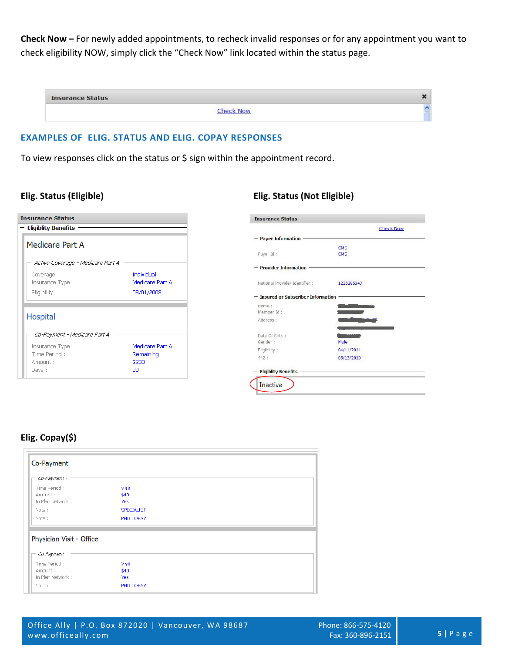**Check Now –** For newly added appointments, to recheck invalid responses or for any appointment you want to check eligibility NOW, simply click the "Check Now" link located within the status page.

| <b>Insurance Status</b> |           |  |
|-------------------------|-----------|--|
|                         | Check Now |  |

# **EXAMPLES OF ELIG. STATUS AND ELIG. COPAY RESPONSES**

To view responses click on the status or \$ sign within the appointment record.

| <b>Insurance Status</b><br>$-$ Eligiblity Benefits |                 |  |  |  |
|----------------------------------------------------|-----------------|--|--|--|
| Medicare Part A                                    |                 |  |  |  |
| Active Coverage - Medicare Part A                  |                 |  |  |  |
| Coverage:                                          | Individual      |  |  |  |
| Insurance Type:                                    | Medicare Part A |  |  |  |
| Eligibility:                                       | 08/01/2008      |  |  |  |
|                                                    |                 |  |  |  |
| Hospital<br>Co-Payment - Medicare Part A           |                 |  |  |  |
|                                                    | Medicare Part A |  |  |  |
| Insurance Type:<br>Time Period:                    | Remaining       |  |  |  |
| Amnunt :                                           | \$283           |  |  |  |

# **Elig. Status (Eligible) Elig. Status (Not Eligible)**

**Committee Advanced Committee** 

|                                       | <b>Check Now</b> |
|---------------------------------------|------------------|
| - Payer Information -                 |                  |
|                                       | <b>CMS</b>       |
| Payor Id :                            | <b>CMS</b>       |
| <b>Provider Information</b>           |                  |
| National Provider Identifier :        | 1235285347       |
| - Insured or Subscriber Information - |                  |
| Name:                                 |                  |
| Member Id:                            |                  |
| Address :                             |                  |
| Date Of Birth:                        |                  |
| Gender:                               | Male             |
| Eligibility:                          | 04/11/2011       |
| 442:                                  | 05/13/2010       |
| <b>Eligiblity Benefits</b>            |                  |

# **Elig. Copay(\$)**

| Co-Payment                                   |                                |  |
|----------------------------------------------|--------------------------------|--|
| Co-Payment -                                 |                                |  |
| Time Period:<br>Amount :<br>In Plan Network: | Visit<br>\$40<br>Yes           |  |
| Note:<br>Note:                               | <b>SPECIALIST</b><br>PHO COPAY |  |
| Physician Visit - Office                     |                                |  |
| Co-Payment -                                 |                                |  |
| Time Period:<br>Amount:<br>In Plan Network:  | Visit<br>\$40<br><b>Yes</b>    |  |
| Note:                                        | PHO COPAY                      |  |